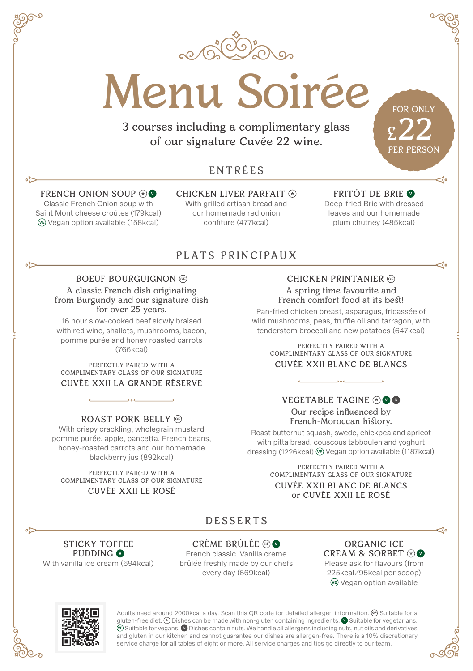

Menu Soirée

3 courses including a complimentary glass of our signature Cuvée 22 wine.

# ENTRÉES

#### FRENCH ONION SOUP **\* <sup>V</sup>**

 $\sim$ 

لاه

Classic French Onion soup with Saint Mont cheese croûtes (179kcal) **VE** Vegan option available (158kcal)

CHICKEN LIVER PARFAIT **\*** With grilled artisan bread and our homemade red onion confiture (477kcal)

#### FRITÔT DE BRIE **<sup>V</sup>**

FOR ONLY

£22 PER PERSON

do

Deep-fried Brie with dressed leaves and our homemade plum chutney (485kcal)

## PLATS PRINCIPAUX

#### BOEUF BOURGUIGNON **GF**

A classic French dish originating from Burgundy and our signature dish for over 25 years.

16 hour slow-cooked beef slowly braised with red wine, shallots, mushrooms, bacon, pomme purée and honey roasted carrots (766kcal)

PERFECTLY PAIRED WITH A COMPLIMENTARY GLASS OF OUR SIGNATURE CUVÉE XXII LA GRANDE RÉSERVE

ROAST PORK BELLY **GF**

With crispy crackling, wholegrain mustard pomme purée, apple, pancetta, French beans, honey-roasted carrots and our homemade blackberry jus (892kcal)

PERFECTLY PAIRED WITH A COMPLIMENTARY GLASS OF OUR SIGNATURE CUVÉE XXII LE ROSÉ

CHICKEN PRINTANIER **GF** A spring time favourite and French comfort food at its best!

Pan-fried chicken breast, asparagus, fricassée of wild mushrooms, peas, truffle oil and tarragon, with tenderstem broccoli and new potatoes (647kcal)

> PERFECTLY PAIRED WITH A COMPLIMENTARY GLASS OF OUR SIGNATURE CUVÉE XXII BLANC DE BLANCS

#### VEGETABLE TAGINE **\* <sup>V</sup> <sup>N</sup>** Our recipe influenced by French-Moroccan history.

Roast butternut squash, swede, chickpea and apricot with pitta bread, couscous tabbouleh and yoghurt dressing (1226kcal) **VE** Vegan option available (1187kcal)

> PERFECTLY PAIRED WITH A COMPLIMENTARY GLASS OF OUR SIGNATURE CUVÉE XXII BLANC DE BLANCS or CUVÉE XXII LE ROSÉ

## DESSERTS

#### CRÈME BRÛLÉE **GF <sup>V</sup>**

French classic. Vanilla crème brûlée freshly made by our chefs every day (669kcal)

ORGANIC ICE CREAM & SORBET **\* <sup>V</sup>** Please ask for flavours (from 225kcal/95kcal per scoop) **VE** Vegan option available



STICKY TOFFEE PUDDING **<sup>V</sup>** With vanilla ice cream (694kcal)

> Adults need around 2000kcal a day. Scan this QR code for detailed allergen information. **GF** Suitable for a gluten-free diet. **\*** Dishes can be made with non-gluten containing ingredients. <br>**O** Suitable for vegetarians. **VE** Suitable for vegans. **N** Dishes contain nuts. We handle all allergens including nuts, nut oils and derivatives and gluten in our kitchen and cannot guarantee our dishes are allergen-free. There is a 10% discretionary service charge for all tables of eight or more. All service charges and tips go directly to our team.